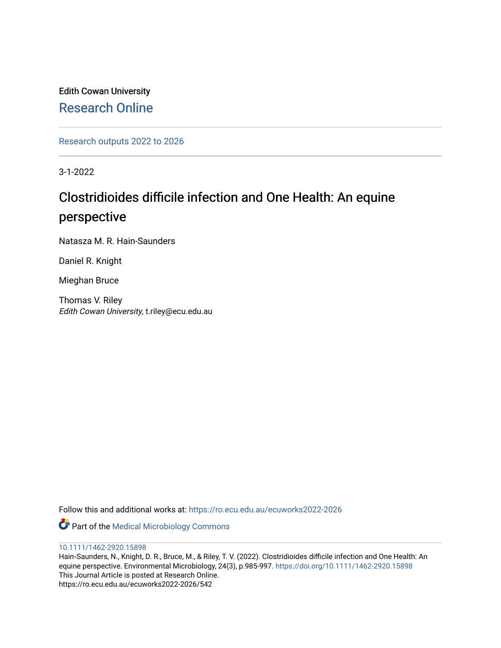Edith Cowan University [Research Online](https://ro.ecu.edu.au/) 

[Research outputs 2022 to 2026](https://ro.ecu.edu.au/ecuworks2022-2026) 

3-1-2022

# Clostridioides difficile infection and One Health: An equine perspective

Natasza M. R. Hain-Saunders

Daniel R. Knight

Mieghan Bruce

Thomas V. Riley Edith Cowan University, t.riley@ecu.edu.au

Follow this and additional works at: [https://ro.ecu.edu.au/ecuworks2022-2026](https://ro.ecu.edu.au/ecuworks2022-2026?utm_source=ro.ecu.edu.au%2Fecuworks2022-2026%2F542&utm_medium=PDF&utm_campaign=PDFCoverPages)

Part of the [Medical Microbiology Commons](https://network.bepress.com/hgg/discipline/672?utm_source=ro.ecu.edu.au%2Fecuworks2022-2026%2F542&utm_medium=PDF&utm_campaign=PDFCoverPages)

## [10.1111/1462-2920.15898](http://dx.doi.org/10.1111/1462-2920.15898)

Hain‐Saunders, N., Knight, D. R., Bruce, M., & Riley, T. V. (2022). Clostridioides difficile infection and One Health: An equine perspective. Environmental Microbiology, 24(3), p.985-997. <https://doi.org/10.1111/1462-2920.15898> This Journal Article is posted at Research Online. https://ro.ecu.edu.au/ecuworks2022-2026/542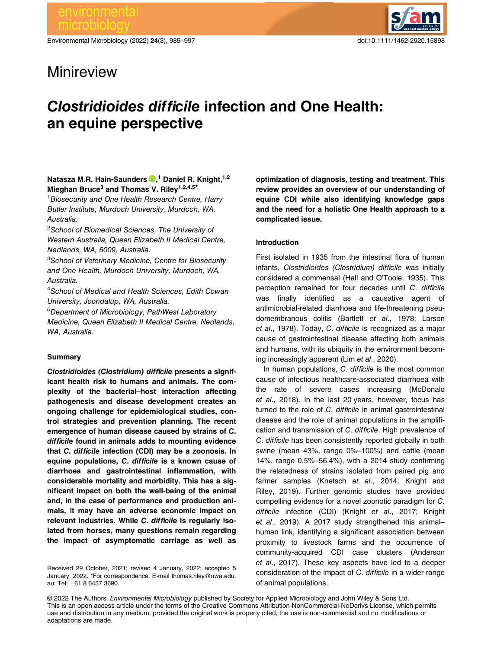Environmental Microbiology (2022) 24(3), 985–997 doi:10.1111/1462-2920.15898



## Minireview

# Clostridioides difficile infection and One Health: an equine perspective

## Natasza M.R. Hain-Saunders <sup>®</sup>[,](https://orcid.org/0000-0002-4259-4340)<sup>1</sup> Daniel R. Knight,<sup>1,2</sup> Mieghan Bruce<sup>3</sup> and Thomas V. Riley<sup>1,2,4,5\*</sup>

<sup>1</sup> Biosecurity and One Health Research Centre, Harry Butler Institute, Murdoch University, Murdoch, WA, Australia.

<sup>2</sup>School of Biomedical Sciences, The University of Western Australia, Queen Elizabeth II Medical Centre, Nedlands, WA, 6009, Australia.

<sup>3</sup>School of Veterinary Medicine, Centre for Biosecurity and One Health, Murdoch University, Murdoch, WA, Australia.

4 School of Medical and Health Sciences, Edith Cowan University, Joondalup, WA, Australia.

5 Department of Microbiology, PathWest Laboratory Medicine, Queen Elizabeth II Medical Centre, Nedlands, WA, Australia.

## **Summary**

Clostridioides (Clostridium) difficile presents a significant health risk to humans and animals. The complexity of the bacterial–host interaction affecting pathogenesis and disease development creates an ongoing challenge for epidemiological studies, control strategies and prevention planning. The recent emergence of human disease caused by strains of C. difficile found in animals adds to mounting evidence that C. difficile infection (CDI) may be a zoonosis. In equine populations, C. difficile is a known cause of diarrhoea and gastrointestinal inflammation, with considerable mortality and morbidity. This has a significant impact on both the well-being of the animal and, in the case of performance and production animals, it may have an adverse economic impact on relevant industries. While C. difficile is regularly isolated from horses, many questions remain regarding the impact of asymptomatic carriage as well as

Received 29 October, 2021; revised 4 January, 2022; accepted 5 January, 2022. \*For correspondence. E-mail [thomas.riley@uwa.edu.](mailto:thomas.riley@uwa.edu.au) [au](mailto:thomas.riley@uwa.edu.au); Tel: +61 8 6457 3690.

optimization of diagnosis, testing and treatment. This review provides an overview of our understanding of equine CDI while also identifying knowledge gaps and the need for a holistic One Health approach to a complicated issue.

## Introduction

First isolated in 1935 from the intestinal flora of human infants, Clostridioides (Clostridium) difficile was initially considered a commensal (Hall and O'Toole, 1935). This perception remained for four decades until C. difficile was finally identified as a causative agent of antimicrobial-related diarrhoea and life-threatening pseudomembranous colitis (Bartlett et al., 1978; Larson et al., 1978). Today, C. difficile is recognized as a major cause of gastrointestinal disease affecting both animals and humans, with its ubiquity in the environment becoming increasingly apparent (Lim et al., 2020).

In human populations, C. difficile is the most common cause of infectious healthcare-associated diarrhoea with the rate of severe cases increasing (McDonald et al., 2018). In the last 20 years, however, focus has turned to the role of C. difficile in animal gastrointestinal disease and the role of animal populations in the amplification and transmission of C. difficile. High prevalence of C. difficile has been consistently reported globally in both swine (mean 43%, range 0%–100%) and cattle (mean 14%, range 0.5%–56.4%), with a 2014 study confirming the relatedness of strains isolated from paired pig and farmer samples (Knetsch et al., 2014; Knight and Riley, 2019). Further genomic studies have provided compelling evidence for a novel zoonotic paradigm for C. difficile infection (CDI) (Knight et al., 2017; Knight et al., 2019). A 2017 study strengthened this animal– human link, identifying a significant association between proximity to livestock farms and the occurrence of community-acquired CDI case clusters (Anderson et al., 2017). These key aspects have led to a deeper consideration of the impact of C. difficile in a wider range of animal populations.

© 2022 The Authors. Environmental Microbiology published by Society for Applied Microbiology and John Wiley & Sons Ltd. This is an open access article under the terms of the [Creative Commons Attribution-NonCommercial-NoDerivs](http://creativecommons.org/licenses/by-nc-nd/4.0/) License, which permits use and distribution in any medium, provided the original work is properly cited, the use is non-commercial and no modifications or adaptations are made.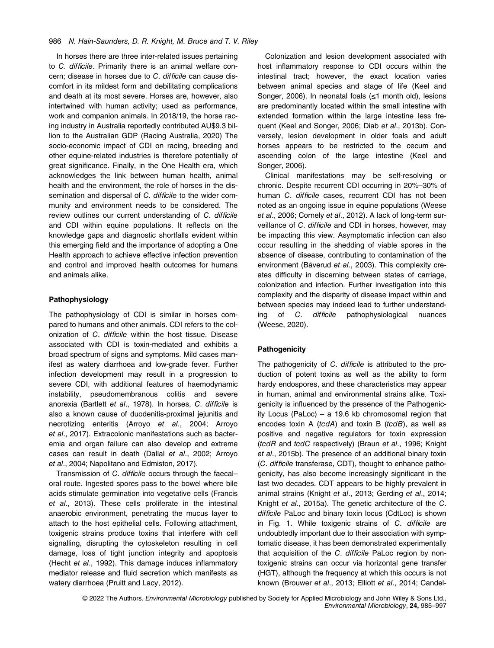#### 986 N. Hain-Saunders, D. R. Knight, M. Bruce and T. V. Riley

In horses there are three inter-related issues pertaining to C. difficile. Primarily there is an animal welfare concern; disease in horses due to C. difficile can cause discomfort in its mildest form and debilitating complications and death at its most severe. Horses are, however, also intertwined with human activity; used as performance, work and companion animals. In 2018/19, the horse racing industry in Australia reportedly contributed AU\$9.3 billion to the Australian GDP (Racing Australia, 2020) The socio-economic impact of CDI on racing, breeding and other equine-related industries is therefore potentially of great significance. Finally, in the One Health era, which acknowledges the link between human health, animal health and the environment, the role of horses in the dissemination and dispersal of C. difficile to the wider community and environment needs to be considered. The review outlines our current understanding of C. difficile and CDI within equine populations. It reflects on the knowledge gaps and diagnostic shortfalls evident within this emerging field and the importance of adopting a One Health approach to achieve effective infection prevention and control and improved health outcomes for humans and animals alike.

## Pathophysiology

The pathophysiology of CDI is similar in horses compared to humans and other animals. CDI refers to the colonization of C. difficile within the host tissue. Disease associated with CDI is toxin-mediated and exhibits a broad spectrum of signs and symptoms. Mild cases manifest as watery diarrhoea and low-grade fever. Further infection development may result in a progression to severe CDI, with additional features of haemodynamic instability, pseudomembranous colitis and severe anorexia (Bartlett et al., 1978). In horses, C. difficile is also a known cause of duodenitis-proximal jejunitis and necrotizing enteritis (Arroyo et al., 2004; Arroyo et al., 2017). Extracolonic manifestations such as bacteremia and organ failure can also develop and extreme cases can result in death (Dallal et al., 2002; Arroyo et al., 2004; Napolitano and Edmiston, 2017).

Transmission of C. difficile occurs through the faecal– oral route. Ingested spores pass to the bowel where bile acids stimulate germination into vegetative cells (Francis et al., 2013). These cells proliferate in the intestinal anaerobic environment, penetrating the mucus layer to attach to the host epithelial cells. Following attachment, toxigenic strains produce toxins that interfere with cell signalling, disrupting the cytoskeleton resulting in cell damage, loss of tight junction integrity and apoptosis (Hecht et al., 1992). This damage induces inflammatory mediator release and fluid secretion which manifests as watery diarrhoea (Pruitt and Lacy, 2012).

Colonization and lesion development associated with host inflammatory response to CDI occurs within the intestinal tract; however, the exact location varies between animal species and stage of life (Keel and Songer, 2006). In neonatal foals (≤1 month old), lesions are predominantly located within the small intestine with extended formation within the large intestine less frequent (Keel and Songer, 2006; Diab et al., 2013b). Conversely, lesion development in older foals and adult horses appears to be restricted to the cecum and ascending colon of the large intestine (Keel and Songer, 2006).

Clinical manifestations may be self-resolving or chronic. Despite recurrent CDI occurring in 20%–30% of human C. difficile cases, recurrent CDI has not been noted as an ongoing issue in equine populations (Weese et al., 2006; Cornely et al., 2012). A lack of long-term surveillance of C. difficile and CDI in horses, however, may be impacting this view. Asymptomatic infection can also occur resulting in the shedding of viable spores in the absence of disease, contributing to contamination of the environment (Båverud et al., 2003). This complexity creates difficulty in discerning between states of carriage, colonization and infection. Further investigation into this complexity and the disparity of disease impact within and between species may indeed lead to further understanding of C. difficile pathophysiological nuances (Weese, 2020).

## **Pathogenicity**

The pathogenicity of C. difficile is attributed to the production of potent toxins as well as the ability to form hardy endospores, and these characteristics may appear in human, animal and environmental strains alike. Toxigenicity is influenced by the presence of the Pathogenicity Locus (PaLoc) – a 19.6 kb chromosomal region that encodes toxin A ( $tcdA$ ) and toxin B ( $tcdB$ ), as well as positive and negative regulators for toxin expression (tcdR and tcdC respectively) (Braun et al., 1996; Knight et al., 2015b). The presence of an additional binary toxin (C. difficile transferase, CDT), thought to enhance pathogenicity, has also become increasingly significant in the last two decades. CDT appears to be highly prevalent in animal strains (Knight et al., 2013; Gerding et al., 2014; Knight et al., 2015a). The genetic architecture of the C. difficile PaLoc and binary toxin locus (CdtLoc) is shown in Fig. 1. While toxigenic strains of C. difficile are undoubtedly important due to their association with symptomatic disease, it has been demonstrated experimentally that acquisition of the C. difficile PaLoc region by nontoxigenic strains can occur via horizontal gene transfer (HGT), although the frequency at which this occurs is not known (Brouwer et al., 2013; Elliott et al., 2014; Candel-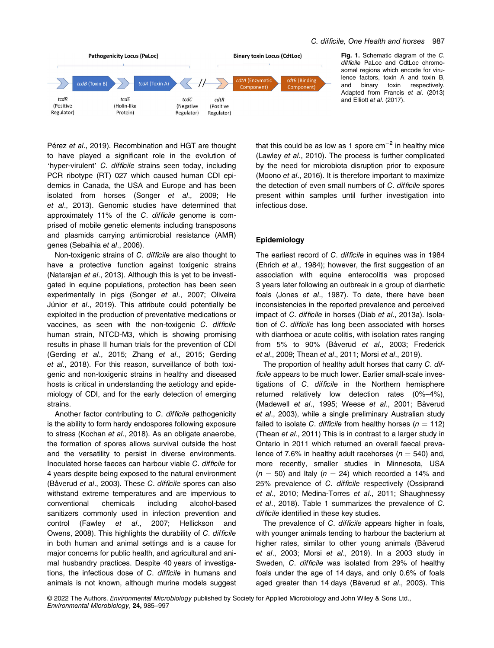

Fig. 1. Schematic diagram of the C. difficile PaLoc and CdtLoc chromosomal regions which encode for virulence factors, toxin A and toxin B, and binary toxin respectively. Adapted from Francis et al. (2013) and Elliott et al. (2017).

Pérez et al., 2019). Recombination and HGT are thought to have played a significant role in the evolution of 'hyper-virulent' C. difficile strains seen today, including PCR ribotype (RT) 027 which caused human CDI epidemics in Canada, the USA and Europe and has been isolated from horses (Songer et al., 2009; He et al., 2013). Genomic studies have determined that approximately 11% of the C. difficile genome is comprised of mobile genetic elements including transposons and plasmids carrying antimicrobial resistance (AMR) genes (Sebaihia et al., 2006).

Non-toxigenic strains of C. difficile are also thought to have a protective function against toxigenic strains (Natarajan et al., 2013). Although this is yet to be investigated in equine populations, protection has been seen experimentally in pigs (Songer et al., 2007; Oliveira Júnior et al., 2019). This attribute could potentially be exploited in the production of preventative medications or vaccines, as seen with the non-toxigenic C. difficile human strain, NTCD-M3, which is showing promising results in phase II human trials for the prevention of CDI (Gerding et al., 2015; Zhang et al., 2015; Gerding et al., 2018). For this reason, surveillance of both toxigenic and non-toxigenic strains in healthy and diseased hosts is critical in understanding the aetiology and epidemiology of CDI, and for the early detection of emerging strains.

Another factor contributing to C. difficile pathogenicity is the ability to form hardy endospores following exposure to stress (Kochan et al., 2018). As an obligate anaerobe, the formation of spores allows survival outside the host and the versatility to persist in diverse environments. Inoculated horse faeces can harbour viable C. difficile for 4 years despite being exposed to the natural environment (Båverud et al., 2003). These C. difficile spores can also withstand extreme temperatures and are impervious to conventional chemicals including alcohol-based sanitizers commonly used in infection prevention and control (Fawley et al., 2007; Hellickson and Owens, 2008). This highlights the durability of C. difficile in both human and animal settings and is a cause for major concerns for public health, and agricultural and animal husbandry practices. Despite 40 years of investigations, the infectious dose of C. difficile in humans and animals is not known, although murine models suggest

that this could be as low as 1 spore  $cm^{-2}$  in healthy mice (Lawley et al., 2010). The process is further complicated by the need for microbiota disruption prior to exposure (Moono et al., 2016). It is therefore important to maximize the detection of even small numbers of C. difficile spores present within samples until further investigation into infectious dose.

## Epidemiology

The earliest record of C. difficile in equines was in 1984 (Ehrich et al., 1984); however, the first suggestion of an association with equine enterocolitis was proposed 3 years later following an outbreak in a group of diarrhetic foals (Jones et al., 1987). To date, there have been inconsistencies in the reported prevalence and perceived impact of C. difficile in horses (Diab et al., 2013a). Isolation of C. difficile has long been associated with horses with diarrhoea or acute colitis, with isolation rates ranging from 5% to 90% (Båverud et al., 2003; Frederick et al., 2009; Thean et al., 2011; Morsi et al., 2019).

The proportion of healthy adult horses that carry C. difficile appears to be much lower. Earlier small-scale investigations of C. difficile in the Northern hemisphere returned relatively low detection rates (0%–4%), (Madewell et al., 1995; Weese et al., 2001; Båverud et al., 2003), while a single preliminary Australian study failed to isolate C. difficile from healthy horses ( $n = 112$ ) (Thean et al., 2011) This is in contrast to a larger study in Ontario in 2011 which returned an overall faecal prevalence of 7.6% in healthy adult racehorses ( $n = 540$ ) and, more recently, smaller studies in Minnesota, USA  $(n = 50)$  and Italy  $(n = 24)$  which recorded a 14% and 25% prevalence of C. difficile respectively (Ossiprandi et al., 2010; Medina-Torres et al., 2011; Shaughnessy et al., 2018). Table 1 summarizes the prevalence of C. difficile identified in these key studies.

The prevalence of C. difficile appears higher in foals, with younger animals tending to harbour the bacterium at higher rates, similar to other young animals (Båverud et al., 2003; Morsi et al., 2019). In a 2003 study in Sweden, C. difficile was isolated from 29% of healthy foals under the age of 14 days, and only 0.6% of foals aged greater than 14 days (Båverud et al., 2003). This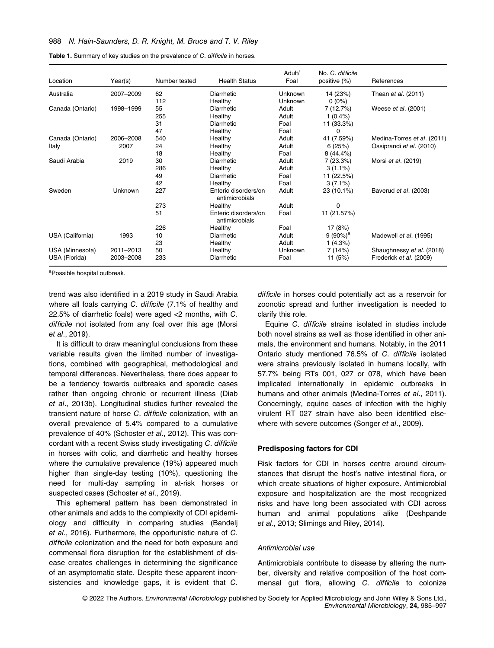#### 988 N. Hain-Saunders, D. R. Knight, M. Bruce and T. V. Riley

| Location         | Year(s)   | Number tested | <b>Health Status</b>                   | Adult/<br>Foal | No. C. difficile<br>positive (%) | References                  |
|------------------|-----------|---------------|----------------------------------------|----------------|----------------------------------|-----------------------------|
| Australia        | 2007-2009 | 62            | Diarrhetic                             | Unknown        | 14 (23%)                         | Thean et al. (2011)         |
|                  |           | 112           | Healthy                                | Unknown        | $0(0\%)$                         |                             |
| Canada (Ontario) | 1998-1999 | 55            | Diarrhetic                             | Adult          | 7 (12.7%)                        | Weese et al. (2001)         |
|                  |           | 255           | Healthy                                | Adult          | $1(0.4\%)$                       |                             |
|                  |           | 31            | Diarrhetic                             | Foal           | 11 (33.3%)                       |                             |
|                  |           | 47            | Healthy                                | Foal           | 0                                |                             |
| Canada (Ontario) | 2006-2008 | 540           | Healthy                                | Adult          | 41 (7.59%)                       | Medina-Torres et al. (2011) |
| Italy            | 2007      | 24            | Healthy                                | Adult          | 6(25%)                           | Ossiprandi et al. (2010)    |
|                  |           | 18            | Healthy                                | Foal           | 8 (44.4%)                        |                             |
| Saudi Arabia     | 2019      | 30            | Diarrhetic                             | Adult          | 7 (23.3%)                        | Morsi <i>et al.</i> (2019)  |
|                  |           | 286           | Healthy                                | Adult          | $3(1.1\%)$                       |                             |
|                  |           | 49            | Diarrhetic                             | Foal           | 11 (22.5%)                       |                             |
|                  |           | 42            | Healthy                                | Foal           | $3(7.1\%)$                       |                             |
| Sweden           | Unknown   | 227           | Enteric disorders/on<br>antimicrobials | Adult          | 23 (10.1%)                       | Båverud et al. (2003)       |
|                  |           | 273           | Healthy                                | Adult          | 0                                |                             |
|                  |           | 51            | Enteric disorders/on<br>antimicrobials | Foal           | 11 (21.57%)                      |                             |
|                  |           | 226           | Healthy                                | Foal           | 17 (8%)                          |                             |
| USA (California) | 1993      | 10            | Diarrhetic                             | Adult          | $9(90\%)^a$                      | Madewell et al. (1995)      |
|                  |           | 23            | Healthy                                | Adult          | 1(4.3%)                          |                             |
| USA (Minnesota)  | 2011-2013 | 50            | Healthy                                | Unknown        | 7(14%)                           | Shaughnessy et al. (2018)   |
| USA (Florida)    | 2003-2008 | 233           | Diarrhetic                             | Foal           | 11 $(5%)$                        | Frederick et al. (2009)     |

a Possible hospital outbreak.

trend was also identified in a 2019 study in Saudi Arabia where all foals carrying C. difficile (7.1% of healthy and 22.5% of diarrhetic foals) were aged <2 months, with C. difficile not isolated from any foal over this age (Morsi et al., 2019).

It is difficult to draw meaningful conclusions from these variable results given the limited number of investigations, combined with geographical, methodological and temporal differences. Nevertheless, there does appear to be a tendency towards outbreaks and sporadic cases rather than ongoing chronic or recurrent illness (Diab et al., 2013b). Longitudinal studies further revealed the transient nature of horse C. difficile colonization, with an overall prevalence of 5.4% compared to a cumulative prevalence of 40% (Schoster et al., 2012). This was concordant with a recent Swiss study investigating C. difficile in horses with colic, and diarrhetic and healthy horses where the cumulative prevalence (19%) appeared much higher than single-day testing (10%), questioning the need for multi-day sampling in at-risk horses or suspected cases (Schoster et al., 2019).

This ephemeral pattern has been demonstrated in other animals and adds to the complexity of CDI epidemiology and difficulty in comparing studies (Bandelj et al., 2016). Furthermore, the opportunistic nature of C. difficile colonization and the need for both exposure and commensal flora disruption for the establishment of disease creates challenges in determining the significance of an asymptomatic state. Despite these apparent inconsistencies and knowledge gaps, it is evident that C. difficile in horses could potentially act as a reservoir for zoonotic spread and further investigation is needed to clarify this role.

Equine C. difficile strains isolated in studies include both novel strains as well as those identified in other animals, the environment and humans. Notably, in the 2011 Ontario study mentioned 76.5% of C. difficile isolated were strains previously isolated in humans locally, with 57.7% being RTs 001, 027 or 078, which have been implicated internationally in epidemic outbreaks in humans and other animals (Medina-Torres et al., 2011). Concerningly, equine cases of infection with the highly virulent RT 027 strain have also been identified elsewhere with severe outcomes (Songer et al., 2009).

#### Predisposing factors for CDI

Risk factors for CDI in horses centre around circumstances that disrupt the host's native intestinal flora, or which create situations of higher exposure. Antimicrobial exposure and hospitalization are the most recognized risks and have long been associated with CDI across human and animal populations alike (Deshpande et al., 2013; Slimings and Riley, 2014).

## Antimicrobial use

Antimicrobials contribute to disease by altering the number, diversity and relative composition of the host commensal gut flora, allowing C. difficile to colonize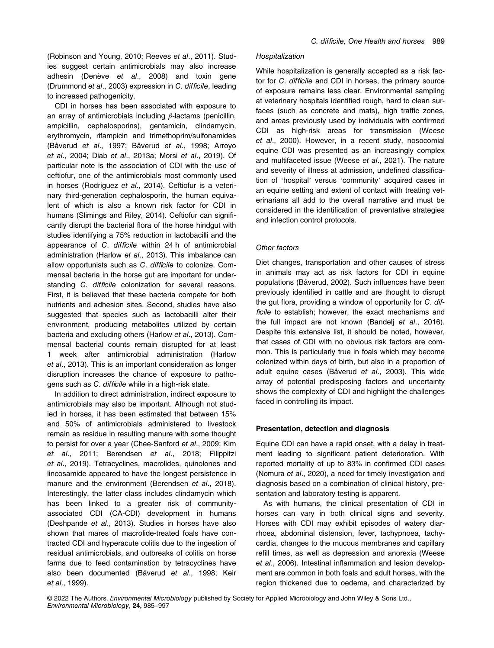(Robinson and Young, 2010; Reeves et al., 2011). Studies suggest certain antimicrobials may also increase adhesin (Denève et al., 2008) and toxin gene (Drummond et al., 2003) expression in C. difficile, leading to increased pathogenicity.

CDI in horses has been associated with exposure to an array of antimicrobials including  $β$ -lactams (penicillin, ampicillin, cephalosporins), gentamicin, clindamycin, erythromycin, rifampicin and trimethoprim/sulfonamides (Båverud et al., 1997; Båverud et al., 1998; Arroyo et al., 2004; Diab et al., 2013a; Morsi et al., 2019). Of particular note is the association of CDI with the use of ceftiofur, one of the antimicrobials most commonly used in horses (Rodriguez et al., 2014). Ceftiofur is a veterinary third-generation cephalosporin, the human equivalent of which is also a known risk factor for CDI in humans (Slimings and Riley, 2014). Ceftiofur can significantly disrupt the bacterial flora of the horse hindgut with studies identifying a 75% reduction in lactobacilli and the appearance of C. difficile within 24 h of antimicrobial administration (Harlow et al., 2013). This imbalance can allow opportunists such as C. difficile to colonize. Commensal bacteria in the horse gut are important for understanding C. difficile colonization for several reasons. First, it is believed that these bacteria compete for both nutrients and adhesion sites. Second, studies have also suggested that species such as lactobacilli alter their environment, producing metabolites utilized by certain bacteria and excluding others (Harlow et al., 2013). Commensal bacterial counts remain disrupted for at least 1 week after antimicrobial administration (Harlow et al., 2013). This is an important consideration as longer disruption increases the chance of exposure to pathogens such as C. difficile while in a high-risk state.

In addition to direct administration, indirect exposure to antimicrobials may also be important. Although not studied in horses, it has been estimated that between 15% and 50% of antimicrobials administered to livestock remain as residue in resulting manure with some thought to persist for over a year (Chee-Sanford et al., 2009; Kim et al., 2011; Berendsen et al., 2018; Filippitzi et al., 2019). Tetracyclines, macrolides, quinolones and lincosamide appeared to have the longest persistence in manure and the environment (Berendsen et al., 2018). Interestingly, the latter class includes clindamycin which has been linked to a greater risk of communityassociated CDI (CA-CDI) development in humans (Deshpande et al., 2013). Studies in horses have also shown that mares of macrolide-treated foals have contracted CDI and hyperacute colitis due to the ingestion of residual antimicrobials, and outbreaks of colitis on horse farms due to feed contamination by tetracyclines have also been documented (Båverud et al., 1998; Keir et al., 1999).

#### Hospitalization

While hospitalization is generally accepted as a risk factor for C. difficile and CDI in horses, the primary source of exposure remains less clear. Environmental sampling at veterinary hospitals identified rough, hard to clean surfaces (such as concrete and mats), high traffic zones, and areas previously used by individuals with confirmed CDI as high-risk areas for transmission (Weese et al., 2000). However, in a recent study, nosocomial equine CDI was presented as an increasingly complex and multifaceted issue (Weese et al., 2021). The nature and severity of illness at admission, undefined classification of 'hospital' versus 'community' acquired cases in an equine setting and extent of contact with treating veterinarians all add to the overall narrative and must be considered in the identification of preventative strategies and infection control protocols.

#### Other factors

Diet changes, transportation and other causes of stress in animals may act as risk factors for CDI in equine populations (Båverud, 2002). Such influences have been previously identified in cattle and are thought to disrupt the gut flora, providing a window of opportunity for C. difficile to establish; however, the exact mechanisms and the full impact are not known (Bandelj et al., 2016). Despite this extensive list, it should be noted, however, that cases of CDI with no obvious risk factors are common. This is particularly true in foals which may become colonized within days of birth, but also in a proportion of adult equine cases (Båverud et al., 2003). This wide array of potential predisposing factors and uncertainty shows the complexity of CDI and highlight the challenges faced in controlling its impact.

#### Presentation, detection and diagnosis

Equine CDI can have a rapid onset, with a delay in treatment leading to significant patient deterioration. With reported mortality of up to 83% in confirmed CDI cases (Nomura et al., 2020), a need for timely investigation and diagnosis based on a combination of clinical history, presentation and laboratory testing is apparent.

As with humans, the clinical presentation of CDI in horses can vary in both clinical signs and severity. Horses with CDI may exhibit episodes of watery diarrhoea, abdominal distension, fever, tachypnoea, tachycardia, changes to the mucous membranes and capillary refill times, as well as depression and anorexia (Weese et al., 2006). Intestinal inflammation and lesion development are common in both foals and adult horses, with the region thickened due to oedema, and characterized by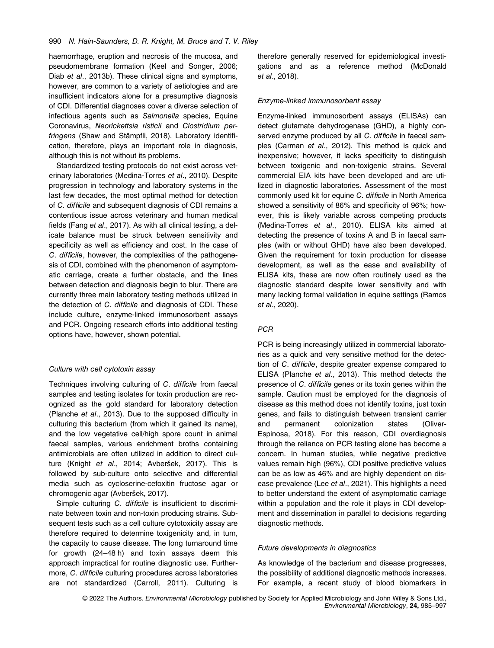haemorrhage, eruption and necrosis of the mucosa, and pseudomembrane formation (Keel and Songer, 2006; Diab et al., 2013b). These clinical signs and symptoms, however, are common to a variety of aetiologies and are insufficient indicators alone for a presumptive diagnosis of CDI. Differential diagnoses cover a diverse selection of infectious agents such as Salmonella species, Equine Coronavirus, Neorickettsia risticii and Clostridium perfringens (Shaw and Stämpfli, 2018). Laboratory identification, therefore, plays an important role in diagnosis, although this is not without its problems.

Standardized testing protocols do not exist across veterinary laboratories (Medina-Torres et al., 2010). Despite progression in technology and laboratory systems in the last few decades, the most optimal method for detection of C. difficile and subsequent diagnosis of CDI remains a contentious issue across veterinary and human medical fields (Fang et al., 2017). As with all clinical testing, a delicate balance must be struck between sensitivity and specificity as well as efficiency and cost. In the case of C. difficile, however, the complexities of the pathogenesis of CDI, combined with the phenomenon of asymptomatic carriage, create a further obstacle, and the lines between detection and diagnosis begin to blur. There are currently three main laboratory testing methods utilized in the detection of C. difficile and diagnosis of CDI. These include culture, enzyme-linked immunosorbent assays and PCR. Ongoing research efforts into additional testing options have, however, shown potential.

## Culture with cell cytotoxin assay

Techniques involving culturing of C. difficile from faecal samples and testing isolates for toxin production are recognized as the gold standard for laboratory detection (Planche et al., 2013). Due to the supposed difficulty in culturing this bacterium (from which it gained its name), and the low vegetative cell/high spore count in animal faecal samples, various enrichment broths containing antimicrobials are often utilized in addition to direct culture (Knight et al., 2014; Avberšek, 2017). This is followed by sub-culture onto selective and differential media such as cycloserine-cefoxitin fructose agar or chromogenic agar (Avberšek, 2017).

Simple culturing C. difficile is insufficient to discriminate between toxin and non-toxin producing strains. Subsequent tests such as a cell culture cytotoxicity assay are therefore required to determine toxigenicity and, in turn, the capacity to cause disease. The long turnaround time for growth (24–48 h) and toxin assays deem this approach impractical for routine diagnostic use. Furthermore, C. difficile culturing procedures across laboratories are not standardized (Carroll, 2011). Culturing is therefore generally reserved for epidemiological investigations and as a reference method (McDonald et al., 2018).

#### Enzyme-linked immunosorbent assay

Enzyme-linked immunosorbent assays (ELISAs) can detect glutamate dehydrogenase (GHD), a highly conserved enzyme produced by all C. difficile in faecal samples (Carman et al., 2012). This method is quick and inexpensive; however, it lacks specificity to distinguish between toxigenic and non-toxigenic strains. Several commercial EIA kits have been developed and are utilized in diagnostic laboratories. Assessment of the most commonly used kit for equine C. difficile in North America showed a sensitivity of 86% and specificity of 96%; however, this is likely variable across competing products (Medina-Torres et al., 2010). ELISA kits aimed at detecting the presence of toxins A and B in faecal samples (with or without GHD) have also been developed. Given the requirement for toxin production for disease development, as well as the ease and availability of ELISA kits, these are now often routinely used as the diagnostic standard despite lower sensitivity and with many lacking formal validation in equine settings (Ramos et al., 2020).

#### **PCR**

PCR is being increasingly utilized in commercial laboratories as a quick and very sensitive method for the detection of C. difficile, despite greater expense compared to ELISA (Planche et al., 2013). This method detects the presence of C. difficile genes or its toxin genes within the sample. Caution must be employed for the diagnosis of disease as this method does not identify toxins, just toxin genes, and fails to distinguish between transient carrier and permanent colonization states (Oliver-Espinosa, 2018). For this reason, CDI overdiagnosis through the reliance on PCR testing alone has become a concern. In human studies, while negative predictive values remain high (96%), CDI positive predictive values can be as low as 46% and are highly dependent on disease prevalence (Lee et al., 2021). This highlights a need to better understand the extent of asymptomatic carriage within a population and the role it plays in CDI development and dissemination in parallel to decisions regarding diagnostic methods.

#### Future developments in diagnostics

As knowledge of the bacterium and disease progresses, the possibility of additional diagnostic methods increases. For example, a recent study of blood biomarkers in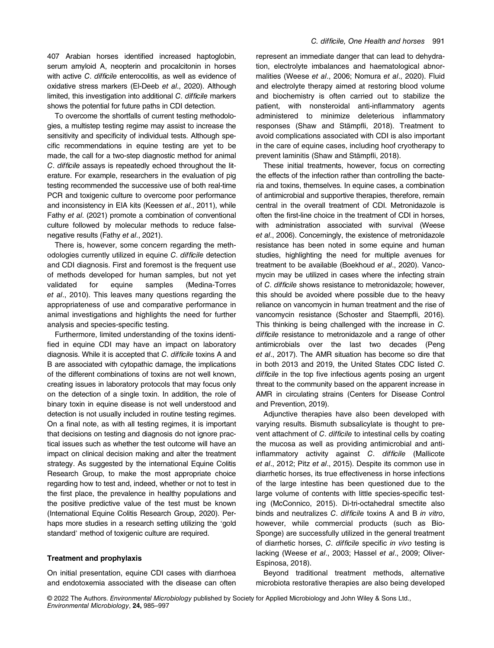407 Arabian horses identified increased haptoglobin, serum amyloid A, neopterin and procalcitonin in horses with active C. difficile enterocolitis, as well as evidence of oxidative stress markers (El-Deeb et al., 2020). Although limited, this investigation into additional C. difficile markers shows the potential for future paths in CDI detection.

To overcome the shortfalls of current testing methodologies, a multistep testing regime may assist to increase the sensitivity and specificity of individual tests. Although specific recommendations in equine testing are yet to be made, the call for a two-step diagnostic method for animal C. difficile assays is repeatedly echoed throughout the literature. For example, researchers in the evaluation of pig testing recommended the successive use of both real-time PCR and toxigenic culture to overcome poor performance and inconsistency in EIA kits (Keessen et al., 2011), while Fathy et al. (2021) promote a combination of conventional culture followed by molecular methods to reduce falsenegative results (Fathy et al., 2021).

There is, however, some concern regarding the methodologies currently utilized in equine C. difficile detection and CDI diagnosis. First and foremost is the frequent use of methods developed for human samples, but not yet validated for equine samples (Medina-Torres et al., 2010). This leaves many questions regarding the appropriateness of use and comparative performance in animal investigations and highlights the need for further analysis and species-specific testing.

Furthermore, limited understanding of the toxins identified in equine CDI may have an impact on laboratory diagnosis. While it is accepted that C. difficile toxins A and B are associated with cytopathic damage, the implications of the different combinations of toxins are not well known, creating issues in laboratory protocols that may focus only on the detection of a single toxin. In addition, the role of binary toxin in equine disease is not well understood and detection is not usually included in routine testing regimes. On a final note, as with all testing regimes, it is important that decisions on testing and diagnosis do not ignore practical issues such as whether the test outcome will have an impact on clinical decision making and alter the treatment strategy. As suggested by the international Equine Colitis Research Group, to make the most appropriate choice regarding how to test and, indeed, whether or not to test in the first place, the prevalence in healthy populations and the positive predictive value of the test must be known (International Equine Colitis Research Group, 2020). Perhaps more studies in a research setting utilizing the 'gold standard' method of toxigenic culture are required.

## Treatment and prophylaxis

On initial presentation, equine CDI cases with diarrhoea and endotoxemia associated with the disease can often represent an immediate danger that can lead to dehydration, electrolyte imbalances and haematological abnormalities (Weese et al., 2006; Nomura et al., 2020). Fluid and electrolyte therapy aimed at restoring blood volume and biochemistry is often carried out to stabilize the patient, with nonsteroidal anti-inflammatory agents administered to minimize deleterious inflammatory responses (Shaw and Stämpfli, 2018). Treatment to avoid complications associated with CDI is also important in the care of equine cases, including hoof cryotherapy to prevent laminitis (Shaw and Stämpfli, 2018).

These initial treatments, however, focus on correcting the effects of the infection rather than controlling the bacteria and toxins, themselves. In equine cases, a combination of antimicrobial and supportive therapies, therefore, remain central in the overall treatment of CDI. Metronidazole is often the first-line choice in the treatment of CDI in horses, with administration associated with survival (Weese et al., 2006). Concerningly, the existence of metronidazole resistance has been noted in some equine and human studies, highlighting the need for multiple avenues for treatment to be available (Boekhoud et al., 2020). Vancomycin may be utilized in cases where the infecting strain of C. difficile shows resistance to metronidazole; however, this should be avoided where possible due to the heavy reliance on vancomycin in human treatment and the rise of vancomycin resistance (Schoster and Staempfli, 2016). This thinking is being challenged with the increase in C. difficile resistance to metronidazole and a range of other antimicrobials over the last two decades (Peng et al., 2017). The AMR situation has become so dire that in both 2013 and 2019, the United States CDC listed C. difficile in the top five infectious agents posing an urgent threat to the community based on the apparent increase in AMR in circulating strains (Centers for Disease Control and Prevention, 2019).

Adjunctive therapies have also been developed with varying results. Bismuth subsalicylate is thought to prevent attachment of C. difficile to intestinal cells by coating the mucosa as well as providing antimicrobial and antiinflammatory activity against C. difficile (Mallicote et al., 2012; Pitz et al., 2015). Despite its common use in diarrhetic horses, its true effectiveness in horse infections of the large intestine has been questioned due to the large volume of contents with little species-specific testing (McConnico, 2015). Di-tri-octahedral smectite also binds and neutralizes C. difficile toxins A and B in vitro, however, while commercial products (such as Bio-Sponge) are successfully utilized in the general treatment of diarrhetic horses, C. difficile specific in vivo testing is lacking (Weese et al., 2003; Hassel et al., 2009; Oliver-Espinosa, 2018).

Beyond traditional treatment methods, alternative microbiota restorative therapies are also being developed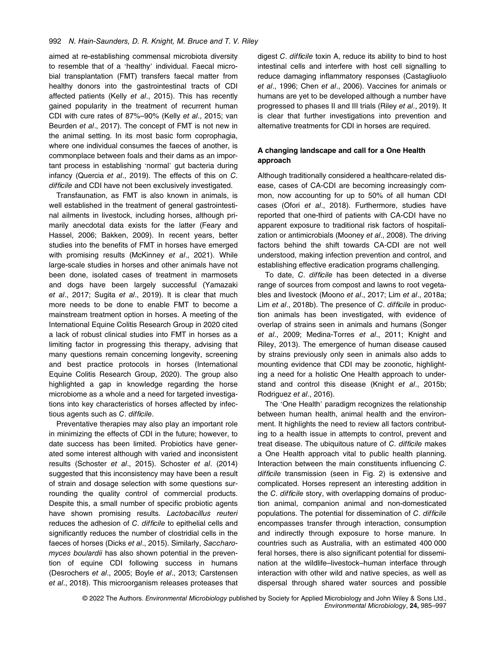aimed at re-establishing commensal microbiota diversity to resemble that of a 'healthy' individual. Faecal microbial transplantation (FMT) transfers faecal matter from healthy donors into the gastrointestinal tracts of CDI affected patients (Kelly et al., 2015). This has recently gained popularity in the treatment of recurrent human CDI with cure rates of 87%–90% (Kelly et al., 2015; van Beurden et al., 2017). The concept of FMT is not new in the animal setting. In its most basic form coprophagia, where one individual consumes the faeces of another, is commonplace between foals and their dams as an important process in establishing 'normal' gut bacteria during infancy (Quercia et al., 2019). The effects of this on C. difficile and CDI have not been exclusively investigated.

Transfaunation, as FMT is also known in animals, is well established in the treatment of general gastrointestinal ailments in livestock, including horses, although primarily anecdotal data exists for the latter (Feary and Hassel, 2006; Bakken, 2009). In recent years, better studies into the benefits of FMT in horses have emerged with promising results (McKinney et al., 2021). While large-scale studies in horses and other animals have not been done, isolated cases of treatment in marmosets and dogs have been largely successful (Yamazaki et al., 2017; Sugita et al., 2019). It is clear that much more needs to be done to enable FMT to become a mainstream treatment option in horses. A meeting of the International Equine Colitis Research Group in 2020 cited a lack of robust clinical studies into FMT in horses as a limiting factor in progressing this therapy, advising that many questions remain concerning longevity, screening and best practice protocols in horses (International Equine Colitis Research Group, 2020). The group also highlighted a gap in knowledge regarding the horse microbiome as a whole and a need for targeted investigations into key characteristics of horses affected by infectious agents such as C. difficile.

Preventative therapies may also play an important role in minimizing the effects of CDI in the future; however, to date success has been limited. Probiotics have generated some interest although with varied and inconsistent results (Schoster et al., 2015). Schoster et al. (2014) suggested that this inconsistency may have been a result of strain and dosage selection with some questions surrounding the quality control of commercial products. Despite this, a small number of specific probiotic agents have shown promising results. Lactobacillus reuteri reduces the adhesion of C. difficile to epithelial cells and significantly reduces the number of clostridial cells in the faeces of horses (Dicks et al., 2015). Similarly, Saccharomyces boulardii has also shown potential in the prevention of equine CDI following success in humans (Desrochers et al., 2005; Boyle et al., 2013; Carstensen et al., 2018). This microorganism releases proteases that digest C. difficile toxin A, reduce its ability to bind to host intestinal cells and interfere with host cell signalling to reduce damaging inflammatory responses (Castagliuolo et al., 1996; Chen et al., 2006). Vaccines for animals or humans are yet to be developed although a number have progressed to phases II and III trials (Riley et al., 2019). It is clear that further investigations into prevention and alternative treatments for CDI in horses are required.

## A changing landscape and call for a One Health approach

Although traditionally considered a healthcare-related disease, cases of CA-CDI are becoming increasingly common, now accounting for up to 50% of all human CDI cases (Ofori et al., 2018). Furthermore, studies have reported that one-third of patients with CA-CDI have no apparent exposure to traditional risk factors of hospitalization or antimicrobials (Mooney et al., 2008). The driving factors behind the shift towards CA-CDI are not well understood, making infection prevention and control, and establishing effective eradication programs challenging.

To date, C. difficile has been detected in a diverse range of sources from compost and lawns to root vegetables and livestock (Moono et al., 2017; Lim et al., 2018a; Lim et al., 2018b). The presence of C. difficile in production animals has been investigated, with evidence of overlap of strains seen in animals and humans (Songer et al., 2009; Medina-Torres et al., 2011; Knight and Riley, 2013). The emergence of human disease caused by strains previously only seen in animals also adds to mounting evidence that CDI may be zoonotic, highlighting a need for a holistic One Health approach to understand and control this disease (Knight et al., 2015b; Rodriguez et al., 2016).

The 'One Health' paradigm recognizes the relationship between human health, animal health and the environment. It highlights the need to review all factors contributing to a health issue in attempts to control, prevent and treat disease. The ubiquitous nature of C. difficile makes a One Health approach vital to public health planning. Interaction between the main constituents influencing C. difficile transmission (seen in Fig. 2) is extensive and complicated. Horses represent an interesting addition in the C. difficile story, with overlapping domains of production animal, companion animal and non-domesticated populations. The potential for dissemination of C. difficile encompasses transfer through interaction, consumption and indirectly through exposure to horse manure. In countries such as Australia, with an estimated 400 000 feral horses, there is also significant potential for dissemination at the wildlife–livestock–human interface through interaction with other wild and native species, as well as dispersal through shared water sources and possible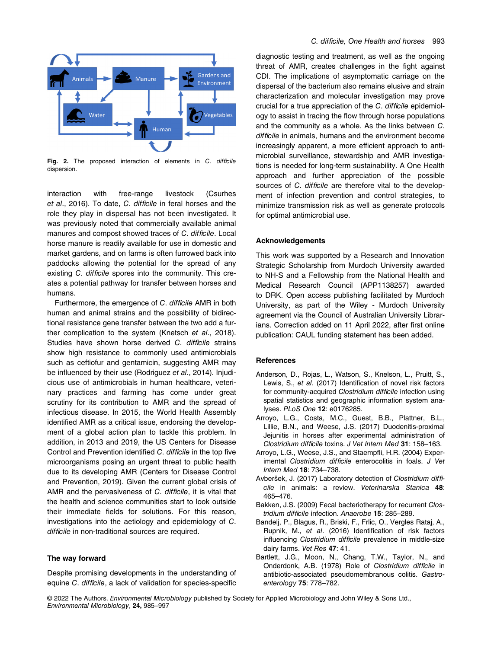

Fig. 2. The proposed interaction of elements in C. difficile dispersion.

interaction with free-range livestock (Csurhes et al., 2016). To date, C. difficile in feral horses and the role they play in dispersal has not been investigated. It was previously noted that commercially available animal manures and compost showed traces of C. difficile. Local horse manure is readily available for use in domestic and market gardens, and on farms is often furrowed back into paddocks allowing the potential for the spread of any existing C. difficile spores into the community. This creates a potential pathway for transfer between horses and humans.

Furthermore, the emergence of C. difficile AMR in both human and animal strains and the possibility of bidirectional resistance gene transfer between the two add a further complication to the system (Knetsch et al., 2018). Studies have shown horse derived C. difficile strains show high resistance to commonly used antimicrobials such as ceftiofur and gentamicin, suggesting AMR may be influenced by their use (Rodriguez et al., 2014). Injudicious use of antimicrobials in human healthcare, veterinary practices and farming has come under great scrutiny for its contribution to AMR and the spread of infectious disease. In 2015, the World Health Assembly identified AMR as a critical issue, endorsing the development of a global action plan to tackle this problem. In addition, in 2013 and 2019, the US Centers for Disease Control and Prevention identified C. difficile in the top five microorganisms posing an urgent threat to public health due to its developing AMR (Centers for Disease Control and Prevention, 2019). Given the current global crisis of AMR and the pervasiveness of C. difficile, it is vital that the health and science communities start to look outside their immediate fields for solutions. For this reason, investigations into the aetiology and epidemiology of C. difficile in non-traditional sources are required.

## The way forward

Despite promising developments in the understanding of equine C. difficile, a lack of validation for species-specific

diagnostic testing and treatment, as well as the ongoing threat of AMR, creates challenges in the fight against CDI. The implications of asymptomatic carriage on the dispersal of the bacterium also remains elusive and strain characterization and molecular investigation may prove crucial for a true appreciation of the C. difficile epidemiology to assist in tracing the flow through horse populations and the community as a whole. As the links between C. difficile in animals, humans and the environment become increasingly apparent, a more efficient approach to antimicrobial surveillance, stewardship and AMR investigations is needed for long-term sustainability. A One Health approach and further appreciation of the possible sources of C. difficile are therefore vital to the development of infection prevention and control strategies, to minimize transmission risk as well as generate protocols for optimal antimicrobial use.

#### Acknowledgements

This work was supported by a Research and Innovation Strategic Scholarship from Murdoch University awarded to NH-S and a Fellowship from the National Health and Medical Research Council (APP1138257) awarded to DRK. Open access publishing facilitated by Murdoch University, as part of the Wiley - Murdoch University agreement via the Council of Australian University Librarians. Correction added on 11 April 2022, after first online publication: CAUL funding statement has been added.

#### **References**

- Anderson, D., Rojas, L., Watson, S., Knelson, L., Pruitt, S., Lewis, S., et al. (2017) Identification of novel risk factors for community-acquired Clostridium difficile infection using spatial statistics and geographic information system analyses. PLoS One 12: e0176285.
- Arroyo, L.G., Costa, M.C., Guest, B.B., Plattner, B.L., Lillie, B.N., and Weese, J.S. (2017) Duodenitis-proximal Jejunitis in horses after experimental administration of Clostridium difficile toxins. J Vet Intern Med 31: 158–163.
- Arroyo, L.G., Weese, J.S., and Staempfli, H.R. (2004) Experimental Clostridium difficile enterocolitis in foals. J Vet Intern Med 18: 734–738.
- Avberšek, J. (2017) Laboratory detection of Clostridium difficile in animals: a review. Veterinarska Stanica 48: 465–476.
- Bakken, J.S. (2009) Fecal bacteriotherapy for recurrent Clostridium difficile infection. Anaerobe 15: 285–289.
- Bandelj, P., Blagus, R., Briski, F., Frlic, O., Vergles Rataj, A., Rupnik, M., et al. (2016) Identification of risk factors influencing Clostridium difficile prevalence in middle-size dairy farms. Vet Res 47: 41.
- Bartlett, J.G., Moon, N., Chang, T.W., Taylor, N., and Onderdonk, A.B. (1978) Role of Clostridium difficile in antibiotic-associated pseudomembranous colitis. Gastroenterology 75: 778–782.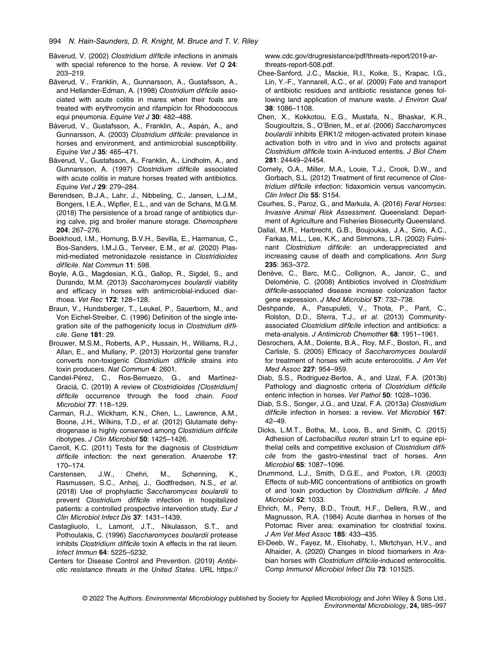- Båverud, V. (2002) Clostridium difficile infections in animals with special reference to the horse. A review. Vet Q 24: 203–219.
- Båverud, V., Franklin, A., Gunnarsson, A., Gustafsson, A., and Hellander-Edman, A. (1998) Clostridium difficile associated with acute colitis in mares when their foals are treated with erythromycin and rifampicin for Rhodococcus equi pneumonia. Equine Vet J 30: 482-488.
- Båverud, V., Gustafsson, A., Franklin, A., Aspán, A., and Gunnarsson, A. (2003) Clostridium difficile: prevalence in horses and environment, and antimicrobial susceptibility. Equine Vet J 35: 465–471.
- Båverud, V., Gustafsson, A., Franklin, A., Lindholm, A., and Gunnarsson, A. (1997) Clostridium difficile associated with acute colitis in mature horses treated with antibiotics. Equine Vet J 29: 279–284.
- Berendsen, B.J.A., Lahr, J., Nibbeling, C., Jansen, L.J.M., Bongers, I.E.A., Wipfler, E.L., and van de Schans, M.G.M. (2018) The persistence of a broad range of antibiotics during calve, pig and broiler manure storage. Chemosphere 204: 267–276.
- Boekhoud, I.M., Hornung, B.V.H., Sevilla, E., Harmanus, C., Bos-Sanders, I.M.J.G., Terveer, E.M., et al. (2020) Plasmid-mediated metronidazole resistance in Clostridioides difficile. Nat Commun 11: 598.
- Boyle, A.G., Magdesian, K.G., Gallop, R., Sigdel, S., and Durando, M.M. (2013) Saccharomyces boulardii viability and efficacy in horses with antimicrobial-induced diarrhoea. Vet Rec 172: 128–128.
- Braun, V., Hundsberger, T., Leukel, P., Sauerborn, M., and Von Eichel-Streiber, C. (1996) Definition of the single integration site of the pathogenicity locus in Clostridium difficile. Gene 181: 29.
- Brouwer, M.S.M., Roberts, A.P., Hussain, H., Williams, R.J., Allan, E., and Mullany, P. (2013) Horizontal gene transfer converts non-toxigenic Clostridium difficile strains into toxin producers. Nat Commun 4: 2601.
- Candel-Pérez, C., Ros-Berruezo, G., and Martínez-Graciá, C. (2019) A review of Clostridioides [Clostridium] difficile occurrence through the food chain. Food Microbiol 77: 118–129.
- Carman, R.J., Wickham, K.N., Chen, L., Lawrence, A.M., Boone, J.H., Wilkins, T.D., et al. (2012) Glutamate dehydrogenase is highly conserved among Clostridium difficile ribotypes. J Clin Microbiol 50: 1425–1426.
- Carroll, K.C. (2011) Tests for the diagnosis of Clostridium difficile infection: the next generation. Anaerobe 17: 170–174.
- Carstensen, J.W., Chehri, M., Schønning, K., Rasmussen, S.C., Anhøj, J., Godtfredsen, N.S., et al. (2018) Use of prophylactic Saccharomyces boulardii to prevent Clostridium difficile infection in hospitalized patients: a controlled prospective intervention study. Eur J Clin Microbiol Infect Dis 37: 1431–1439.
- Castagliuolo, I., Lamont, J.T., Nikulasson, S.T., and Pothoulakis, C. (1996) Saccharomyces boulardii protease inhibits Clostridium difficile toxin A effects in the rat ileum. Infect Immun 64: 5225–5232.
- Centers for Disease Control and Prevention. (2019) Antibiotic resistance threats in the United States. URL [https://](https://www.cdc.gov/drugresistance/pdf/threats-report/2019-ar-threats-report-508.pdf)

[www.cdc.gov/drugresistance/pdf/threats-report/2019-ar](https://www.cdc.gov/drugresistance/pdf/threats-report/2019-ar-threats-report-508.pdf)[threats-report-508.pdf.](https://www.cdc.gov/drugresistance/pdf/threats-report/2019-ar-threats-report-508.pdf)

- Chee-Sanford, J.C., Mackie, R.I., Koike, S., Krapac, I.G., Lin, Y.-F., Yannarell, A.C., et al. (2009) Fate and transport of antibiotic residues and antibiotic resistance genes following land application of manure waste. J Environ Qual 38: 1086–1108.
- Chen, X., Kokkotou, E.G., Mustafa, N., Bhaskar, K.R., Sougioultzis, S., O'Brien, M., et al. (2006) Saccharomyces boulardii inhibits ERK1/2 mitogen-activated protein kinase activation both in vitro and in vivo and protects against Clostridium difficile toxin A-induced enteritis. J Biol Chem 281: 24449–24454.
- Cornely, O.A., Miller, M.A., Louie, T.J., Crook, D.W., and Gorbach, S.L. (2012) Treatment of first recurrence of Clostridium difficile infection: fidaxomicin versus vancomycin. Clin Infect Dis 55: S154.
- Csurhes, S., Paroz, G., and Markula, A. (2016) Feral Horses: Invasive Animal Risk Assessment. Queensland: Department of Agriculture and Fisheries Biosecurity Queensland.
- Dallal, M.R., Harbrecht, G.B., Boujoukas, J.A., Sirio, A.C., Farkas, M.L., Lee, K.K., and Simmons, L.R. (2002) Fulminant Clostridium difficile: an underappreciated and increasing cause of death and complications. Ann Surg 235: 363–372.
- Denève, C., Barc, M.C., Collignon, A., Janoir, C., and Deloménie, C. (2008) Antibiotics involved in Clostridium difficile-associated disease increase colonization factor gene expression. J Med Microbiol 57: 732–738.
- Deshpande, A., Pasupuleti, V., Thota, P., Pant, C., Rolston, D.D., Sferra, T.J., et al. (2013) Communityassociated Clostridium difficile infection and antibiotics: a meta-analysis. J Antimicrob Chemother 68: 1951–1961.
- Desrochers, A.M., Dolente, B.A., Roy, M.F., Boston, R., and Carlisle, S. (2005) Efficacy of Saccharomyces boulardii for treatment of horses with acute enterocolitis. J Am Vet Med Assoc 227: 954–959.
- Diab, S.S., Rodriguez-Bertos, A., and Uzal, F.A. (2013b) Pathology and diagnostic criteria of Clostridium difficile enteric infection in horses. Vet Pathol 50: 1028–1036.
- Diab, S.S., Songer, J.G., and Uzal, F.A. (2013a) Clostridium difficile infection in horses: a review. Vet Microbiol 167: 42–49.
- Dicks, L.M.T., Botha, M., Loos, B., and Smith, C. (2015) Adhesion of Lactobacillus reuteri strain Lr1 to equine epithelial cells and competitive exclusion of Clostridium difficile from the gastro-intestinal tract of horses. Ann Microbiol 65: 1087–1096.
- Drummond, L.J., Smith, D.G.E., and Poxton, I.R. (2003) Effects of sub-MIC concentrations of antibiotics on growth of and toxin production by Clostridium difficile. J Med Microbiol 52: 1033.
- Ehrich, M., Perry, B.D., Troutt, H.F., Dellers, R.W., and Magnusson, R.A. (1984) Acute diarrhea in horses of the Potomac River area: examination for clostridial toxins. J Am Vet Med Assoc 185: 433–435.
- El-Deeb, W., Fayez, M., Elsohaby, I., Mkrtchyan, H.V., and Alhaider, A. (2020) Changes in blood biomarkers in Arabian horses with Clostridium difficile-induced enterocolitis. Comp Immunol Microbiol Infect Dis 73: 101525.

<sup>© 2022</sup> The Authors. Environmental Microbiology published by Society for Applied Microbiology and John Wiley & Sons Ltd., Environmental Microbiology, 24, 985–997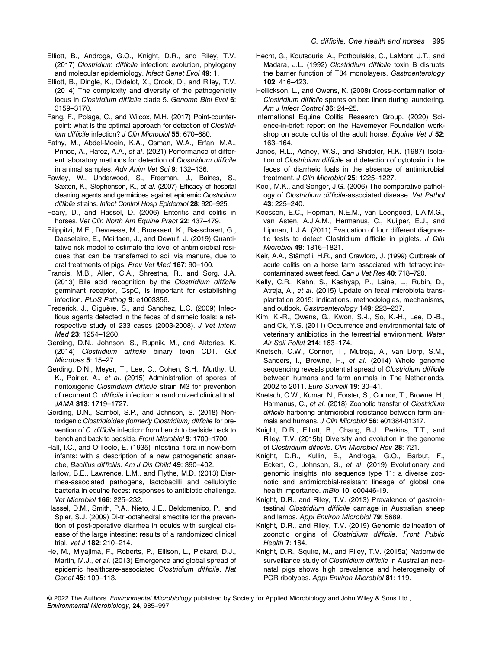- Elliott, B., Androga, G.O., Knight, D.R., and Riley, T.V. (2017) Clostridium difficile infection: evolution, phylogeny and molecular epidemiology. Infect Genet Evol 49: 1.
- Elliott, B., Dingle, K., Didelot, X., Crook, D., and Riley, T.V. (2014) The complexity and diversity of the pathogenicity locus in Clostridium difficile clade 5. Genome Biol Evol 6: 3159–3170.
- Fang, F., Polage, C., and Wilcox, M.H. (2017) Point-counterpoint: what is the optimal approach for detection of Clostridium difficile infection? J Clin Microbiol 55: 670–680.
- Fathy, M., Abdel-Moein, K.A., Osman, W.A., Erfan, M.A., Prince, A., Hafez, A.A., et al. (2021) Performance of different laboratory methods for detection of Clostridium difficile in animal samples. Adv Anim Vet Sci 9: 132–136.
- Fawley, W., Underwood, S., Freeman, J., Baines, S., Saxton, K., Stephenson, K., et al. (2007) Efficacy of hospital cleaning agents and germicides against epidemic Clostridium difficile strains. Infect Control Hosp Epidemiol 28: 920–925.
- Feary, D., and Hassel, D. (2006) Enteritis and colitis in horses. Vet Clin North Am Equine Pract 22: 437-479.
- Filippitzi, M.E., Devreese, M., Broekaert, K., Rasschaert, G., Daeseleire, E., Meirlaen, J., and Dewulf, J. (2019) Quantitative risk model to estimate the level of antimicrobial residues that can be transferred to soil via manure, due to oral treatments of pigs. Prev Vet Med 167: 90–100.
- Francis, M.B., Allen, C.A., Shrestha, R., and Sorg, J.A. (2013) Bile acid recognition by the Clostridium difficile germinant receptor, CspC, is important for establishing infection. PLoS Pathog 9: e1003356.
- Frederick, J., Giguère, S., and Sanchez, L.C. (2009) Infectious agents detected in the feces of diarrheic foals: a retrospective study of 233 cases (2003-2008). J Vet Intern Med 23: 1254–1260.
- Gerding, D.N., Johnson, S., Rupnik, M., and Aktories, K. (2014) Clostridium difficile binary toxin CDT. Gut Microbes 5: 15–27.
- Gerding, D.N., Meyer, T., Lee, C., Cohen, S.H., Murthy, U. K., Poirier, A., et al. (2015) Administration of spores of nontoxigenic Clostridium difficile strain M3 for prevention of recurrent C. difficile infection: a randomized clinical trial. JAMA 313: 1719–1727.
- Gerding, D.N., Sambol, S.P., and Johnson, S. (2018) Nontoxigenic Clostridioides (formerly Clostridium) difficile for prevention of C. difficile infection: from bench to bedside back to bench and back to bedside. Front Microbiol 9: 1700–1700.
- Hall, I.C., and O'Toole, E. (1935) Intestinal flora in new-born infants: with a description of a new pathogenetic anaerobe, Bacillus difficilis. Am J Dis Child 49: 390–402.
- Harlow, B.E., Lawrence, L.M., and Flythe, M.D. (2013) Diarrhea-associated pathogens, lactobacilli and cellulolytic bacteria in equine feces: responses to antibiotic challenge. Vet Microbiol 166: 225–232.
- Hassel, D.M., Smith, P.A., Nieto, J.E., Beldomenico, P., and Spier, S.J. (2009) Di-tri-octahedral smectite for the prevention of post-operative diarrhea in equids with surgical disease of the large intestine: results of a randomized clinical trial. Vet J 182: 210–214.
- He, M., Miyajima, F., Roberts, P., Ellison, L., Pickard, D.J., Martin, M.J., et al. (2013) Emergence and global spread of epidemic healthcare-associated Clostridium difficile. Nat Genet 45: 109–113.
- Hecht, G., Koutsouris, A., Pothoulakis, C., LaMont, J.T., and Madara, J.L. (1992) Clostridium difficile toxin B disrupts the barrier function of T84 monolayers. Gastroenterology 102: 416–423.
- Hellickson, L., and Owens, K. (2008) Cross-contamination of Clostridium difficile spores on bed linen during laundering. Am J Infect Control 36: 24-25.
- International Equine Colitis Research Group. (2020) Science-in-brief: report on the Havemeyer Foundation workshop on acute colitis of the adult horse. Equine Vet J 52: 163–164.
- Jones, R.L., Adney, W.S., and Shideler, R.K. (1987) Isolation of Clostridium difficile and detection of cytotoxin in the feces of diarrheic foals in the absence of antimicrobial treatment. J Clin Microbiol 25: 1225–1227.
- Keel, M.K., and Songer, J.G. (2006) The comparative pathology of Clostridium difficile-associated disease. Vet Pathol 43: 225–240.
- Keessen, E.C., Hopman, N.E.M., van Leengoed, L.A.M.G., van Asten, A.J.A.M., Hermanus, C., Kuijper, E.J., and Lipman, L.J.A. (2011) Evaluation of four different diagnostic tests to detect Clostridium difficile in piglets. J Clin Microbiol 49: 1816–1821.
- Keir, A.A., Stämpfli, H.R., and Crawford, J. (1999) Outbreak of acute colitis on a horse farm associated with tetracyclinecontaminated sweet feed. Can J Vet Res 40: 718–720.
- Kelly, C.R., Kahn, S., Kashyap, P., Laine, L., Rubin, D., Atreja, A., et al. (2015) Update on fecal microbiota transplantation 2015: indications, methodologies, mechanisms, and outlook. Gastroenterology 149: 223–237.
- Kim, K.-R., Owens, G., Kwon, S.-I., So, K.-H., Lee, D.-B., and Ok, Y.S. (2011) Occurrence and environmental fate of veterinary antibiotics in the terrestrial environment. Water Air Soil Pollut 214: 163–174.
- Knetsch, C.W., Connor, T., Mutreja, A., van Dorp, S.M., Sanders, I., Browne, H., et al. (2014) Whole genome sequencing reveals potential spread of Clostridium difficile between humans and farm animals in The Netherlands, 2002 to 2011. Euro Surveill 19: 30–41.
- Knetsch, C.W., Kumar, N., Forster, S., Connor, T., Browne, H., Harmanus, C., et al. (2018) Zoonotic transfer of Clostridium difficile harboring antimicrobial resistance between farm animals and humans. J Clin Microbiol 56: e01384-01317.
- Knight, D.R., Elliott, B., Chang, B.J., Perkins, T.T., and Riley, T.V. (2015b) Diversity and evolution in the genome of Clostridium difficile. Clin Microbiol Rev 28: 721.
- Knight, D.R., Kullin, B., Androga, G.O., Barbut, F., Eckert, C., Johnson, S., et al. (2019) Evolutionary and genomic insights into sequence type 11: a diverse zoonotic and antimicrobial-resistant lineage of global one health importance. mBio 10: e00446-19.
- Knight, D.R., and Riley, T.V. (2013) Prevalence of gastrointestinal Clostridium difficile carriage in Australian sheep and lambs. Appl Environ Microbiol 79: 5689.
- Knight, D.R., and Riley, T.V. (2019) Genomic delineation of zoonotic origins of Clostridium difficile. Front Public Health 7: 164.
- Knight, D.R., Squire, M., and Riley, T.V. (2015a) Nationwide surveillance study of Clostridium difficile in Australian neonatal pigs shows high prevalence and heterogeneity of PCR ribotypes. Appl Environ Microbiol 81: 119.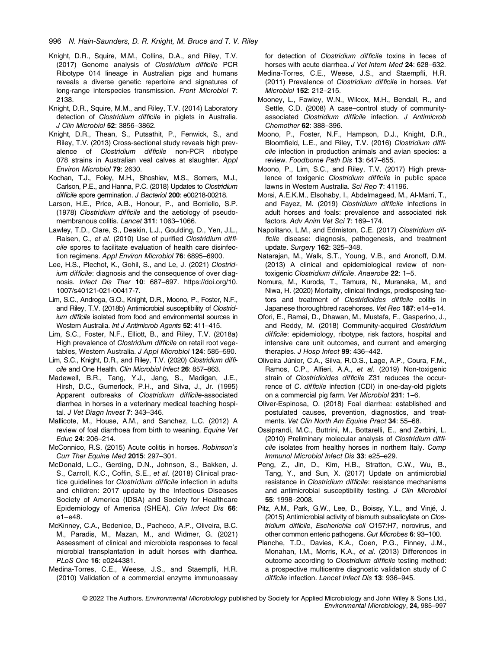- Knight, D.R., Squire, M.M., Collins, D.A., and Riley, T.V. (2017) Genome analysis of Clostridium difficile PCR Ribotype 014 lineage in Australian pigs and humans reveals a diverse genetic repertoire and signatures of long-range interspecies transmission. Front Microbiol 7: 2138.
- Knight, D.R., Squire, M.M., and Riley, T.V. (2014) Laboratory detection of Clostridium difficile in piglets in Australia. J Clin Microbiol 52: 3856–3862.
- Knight, D.R., Thean, S., Putsathit, P., Fenwick, S., and Riley, T.V. (2013) Cross-sectional study reveals high prevalence of Clostridium difficile non-PCR ribotype 078 strains in Australian veal calves at slaughter. Appl Environ Microbiol 79: 2630.
- Kochan, T.J., Foley, M.H., Shoshiev, M.S., Somers, M.J., Carlson, P.E., and Hanna, P.C. (2018) Updates to Clostridium difficile spore germination. J Bacteriol 200: e00218-00218.
- Larson, H.E., Price, A.B., Honour, P., and Borriello, S.P. (1978) Clostridium difficile and the aetiology of pseudomembranous colitis. Lancet 311: 1063-1066.
- Lawley, T.D., Clare, S., Deakin, L.J., Goulding, D., Yen, J.L., Raisen, C., et al. (2010) Use of purified Clostridium difficile spores to facilitate evaluation of health care disinfection regimens. Appl Environ Microbiol 76: 6895–6900.
- Lee, H.S., Plechot, K., Gohil, S., and Le, J. (2021) Clostridium difficile: diagnosis and the consequence of over diagnosis. Infect Dis Ther 10: 687–697. [https://doi.org/10.](https://doi.org/10.1007/s40121-021-00417-7) [1007/s40121-021-00417-7](https://doi.org/10.1007/s40121-021-00417-7).
- Lim, S.C., Androga, G.O., Knight, D.R., Moono, P., Foster, N.F., and Riley, T.V. (2018b) Antimicrobial susceptibility of Clostridium difficile isolated from food and environmental sources in Western Australia. Int J Antimicrob Agents 52: 411–415.
- Lim, S.C., Foster, N.F., Elliott, B., and Riley, T.V. (2018a) High prevalence of Clostridium difficile on retail root vegetables, Western Australia. J Appl Microbiol 124: 585–590.
- Lim, S.C., Knight, D.R., and Riley, T.V. (2020) Clostridium difficile and One Health. Clin Microbiol Infect 26: 857–863.
- Madewell, B.R., Tang, Y.J., Jang, S., Madigan, J.E., Hirsh, D.C., Gumerlock, P.H., and Silva, J., Jr. (1995) Apparent outbreaks of Clostridium difficile-associated diarrhea in horses in a veterinary medical teaching hospital. J Vet Diagn Invest 7: 343–346.
- Mallicote, M., House, A.M., and Sanchez, L.C. (2012) A review of foal diarrhoea from birth to weaning. Equine Vet Educ 24: 206–214.
- McConnico, R.S. (2015) Acute colitis in horses. Robinson's Curr Ther Equine Med 2015: 297–301.
- McDonald, L.C., Gerding, D.N., Johnson, S., Bakken, J. S., Carroll, K.C., Coffin, S.E., et al. (2018) Clinical practice guidelines for Clostridium difficile infection in adults and children: 2017 update by the Infectious Diseases Society of America (IDSA) and Society for Healthcare Epidemiology of America (SHEA). Clin Infect Dis 66: e1–e48.
- McKinney, C.A., Bedenice, D., Pacheco, A.P., Oliveira, B.C. M., Paradis, M., Mazan, M., and Widmer, G. (2021) Assessment of clinical and microbiota responses to fecal microbial transplantation in adult horses with diarrhea. PLoS One 16: e0244381.
- Medina-Torres, C.E., Weese, J.S., and Staempfli, H.R. (2010) Validation of a commercial enzyme immunoassay

for detection of Clostridium difficile toxins in feces of horses with acute diarrhea. J Vet Intern Med 24: 628-632.

- Medina-Torres, C.E., Weese, J.S., and Staempfli, H.R. (2011) Prevalence of Clostridium difficile in horses. Vet Microbiol 152: 212–215.
- Mooney, L., Fawley, W.N., Wilcox, M.H., Bendall, R., and Settle, C.D. (2008) A case–control study of communityassociated Clostridium difficile infection. J Antimicrob Chemother 62: 388–396.
- Moono, P., Foster, N.F., Hampson, D.J., Knight, D.R., Bloomfield, L.E., and Riley, T.V. (2016) Clostridium difficile infection in production animals and avian species: a review. Foodborne Path Dis 13: 647–655.
- Moono, P., Lim, S.C., and Riley, T.V. (2017) High prevalence of toxigenic Clostridium difficile in public space lawns in Western Australia. Sci Rep 7: 41196.
- Morsi, A.E.K.M., Elsohaby, I., Abdelmageed, M., Al-Marri, T., and Fayez, M. (2019) Clostridium difficile infections in adult horses and foals: prevalence and associated risk factors. Adv Anim Vet Sci 7: 169–174.
- Napolitano, L.M., and Edmiston, C.E. (2017) Clostridium difficile disease: diagnosis, pathogenesis, and treatment update. Surgery 162: 325–348.
- Natarajan, M., Walk, S.T., Young, V.B., and Aronoff, D.M. (2013) A clinical and epidemiological review of nontoxigenic Clostridium difficile. Anaerobe 22: 1–5.
- Nomura, M., Kuroda, T., Tamura, N., Muranaka, M., and Niwa, H. (2020) Mortality, clinical findings, predisposing factors and treatment of Clostridioides difficile colitis in Japanese thoroughbred racehorses. Vet Rec 187: e14–e14.
- Ofori, E., Ramai, D., Dhawan, M., Mustafa, F., Gasperino, J., and Reddy, M. (2018) Community-acquired Clostridium difficile: epidemiology, ribotype, risk factors, hospital and intensive care unit outcomes, and current and emerging therapies. J Hosp Infect 99: 436-442.
- Oliveira Júnior, C.A., Silva, R.O.S., Lage, A.P., Coura, F.M., Ramos, C.P., Alfieri, A.A., et al. (2019) Non-toxigenic strain of Clostridioides difficile Z31 reduces the occurrence of C. difficile infection (CDI) in one-day-old piglets on a commercial pig farm. Vet Microbiol 231: 1–6.
- Oliver-Espinosa, O. (2018) Foal diarrhea: established and postulated causes, prevention, diagnostics, and treatments. Vet Clin North Am Equine Pract 34: 55–68.
- Ossiprandi, M.C., Buttrini, M., Bottarelli, E., and Zerbini, L. (2010) Preliminary molecular analysis of Clostridium difficile isolates from healthy horses in northern Italy. Comp Immunol Microbiol Infect Dis 33: e25–e29.
- Peng, Z., Jin, D., Kim, H.B., Stratton, C.W., Wu, B., Tang, Y., and Sun, X. (2017) Update on antimicrobial resistance in Clostridium difficile: resistance mechanisms and antimicrobial susceptibility testing. J Clin Microbiol 55: 1998–2008.
- Pitz, A.M., Park, G.W., Lee, D., Boissy, Y.L., and Vinjé, J. (2015) Antimicrobial activity of bismuth subsalicylate on Clostridium difficile, Escherichia coli O157:H7, norovirus, and other common enteric pathogens. Gut Microbes 6: 93–100.
- Planche, T.D., Davies, K.A., Coen, P.G., Finney, J.M., Monahan, I.M., Morris, K.A., et al. (2013) Differences in outcome according to Clostridium difficile testing method: a prospective multicentre diagnostic validation study of C difficile infection. Lancet Infect Dis 13: 936–945.

<sup>© 2022</sup> The Authors. Environmental Microbiology published by Society for Applied Microbiology and John Wiley & Sons Ltd., Environmental Microbiology, 24, 985–997